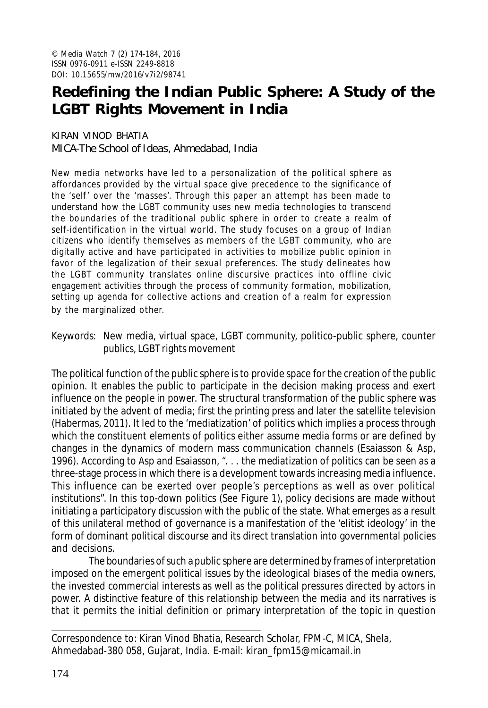# **Redefining the Indian Public Sphere: A Study of the LGBT Rights Movement in India**

KIRAN VINOD BHATIA MICA-The School of Ideas, Ahmedabad, India

New media networks have led to a personalization of the political sphere as affordances provided by the virtual space give precedence to the significance of the 'self ' over the 'masses'. Through this paper an attempt has been made to understand how the LGBT community uses new media technologies to transcend the boundaries of the traditional public sphere in order to create a realm of self-identification in the virtual world. The study focuses on a group of Indian citizens who identify themselves as members of the LGBT community, who are digitally active and have participated in activities to mobilize public opinion in favor of the legalization of their sexual preferences. The study delineates how the LGBT community translates online discursive practices into offline civic engagement activities through the process of community formation, mobilization, setting up agenda for collective actions and creation of a realm for expression by the marginalized other.

Keywords: New media, virtual space, LGBT community, politico-public sphere, counter publics, LGBT rights movement

The political function of the public sphere is to provide space for the creation of the public opinion. It enables the public to participate in the decision making process and exert influence on the people in power. The structural transformation of the public sphere was initiated by the advent of media; first the printing press and later the satellite television (Habermas, 2011). It led to the 'mediatization' of politics which implies a process through which the constituent elements of politics either assume media forms or are defined by changes in the dynamics of modern mass communication channels (Esaiasson & Asp, 1996). According to Asp and Esaiasson, ". . . the mediatization of politics can be seen as a three-stage process in which there is a development towards increasing media influence. This influence can be exerted over people's perceptions as well as over political institutions". In this top-down politics (See Figure 1), policy decisions are made without initiating a participatory discussion with the public of the state. What emerges as a result of this unilateral method of governance is a manifestation of the 'elitist ideology' in the form of dominant political discourse and its direct translation into governmental policies and decisions.

The boundaries of such a public sphere are determined by frames of interpretation imposed on the emergent political issues by the ideological biases of the media owners, the invested commercial interests as well as the political pressures directed by actors in power. A distinctive feature of this relationship between the media and its narratives is that it permits the initial definition or primary interpretation of the topic in question

Correspondence to: Kiran Vinod Bhatia, Research Scholar, FPM-C, MICA, Shela, Ahmedabad-380 058, Gujarat, India. E-mail: kiran\_fpm15@micamail.in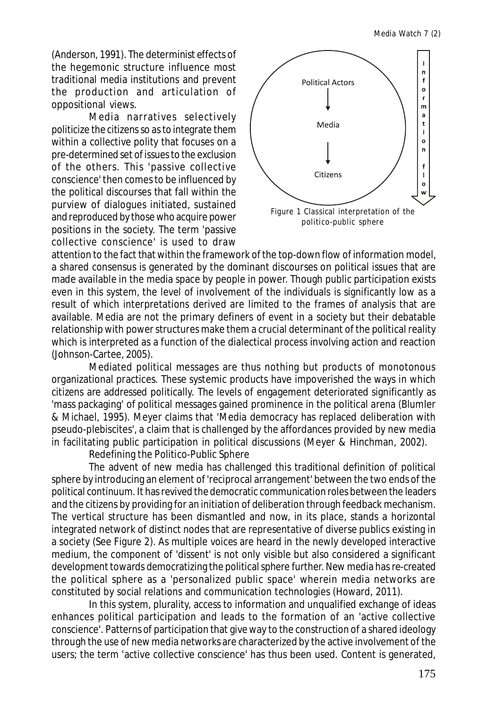(Anderson, 1991). The determinist effects of the hegemonic structure influence most traditional media institutions and prevent the production and articulation of oppositional views.

Media narratives selectively politicize the citizens so as to integrate them within a collective polity that focuses on a pre-determined set of issues to the exclusion of the others. This 'passive collective conscience' then comes to be influenced by the political discourses that fall within the purview of dialogues initiated, sustained and reproduced by those who acquire power positions in the society. The term 'passive collective conscience' is used to draw



politico-public sphere

attention to the fact that within the framework of the top-down flow of information model, a shared consensus is generated by the dominant discourses on political issues that are made available in the media space by people in power. Though public participation exists even in this system, the level of involvement of the individuals is significantly low as a result of which interpretations derived are limited to the frames of analysis that are available. Media are not the primary definers of event in a society but their debatable relationship with power structures make them a crucial determinant of the political reality which is interpreted as a function of the dialectical process involving action and reaction (Johnson-Cartee, 2005).

Mediated political messages are thus nothing but products of monotonous organizational practices. These systemic products have impoverished the ways in which citizens are addressed politically. The levels of engagement deteriorated significantly as 'mass packaging' of political messages gained prominence in the political arena (Blumler & Michael, 1995). Meyer claims that 'Media democracy has replaced deliberation with pseudo-plebiscites', a claim that is challenged by the affordances provided by new media in facilitating public participation in political discussions (Meyer & Hinchman, 2002).

Redefining the Politico-Public Sphere

The advent of new media has challenged this traditional definition of political sphere by introducing an element of 'reciprocal arrangement' between the two ends of the political continuum. It has revived the democratic communication roles between the leaders and the citizens by providing for an initiation of deliberation through feedback mechanism. The vertical structure has been dismantled and now, in its place, stands a horizontal integrated network of distinct nodes that are representative of diverse publics existing in a society (See Figure 2). As multiple voices are heard in the newly developed interactive medium, the component of 'dissent' is not only visible but also considered a significant development towards democratizing the political sphere further. New media has re-created the political sphere as a 'personalized public space' wherein media networks are constituted by social relations and communication technologies (Howard, 2011).

In this system, plurality, access to information and unqualified exchange of ideas enhances political participation and leads to the formation of an 'active collective conscience'. Patterns of participation that give way to the construction of a shared ideology through the use of new media networks are characterized by the active involvement of the users; the term 'active collective conscience' has thus been used. Content is generated,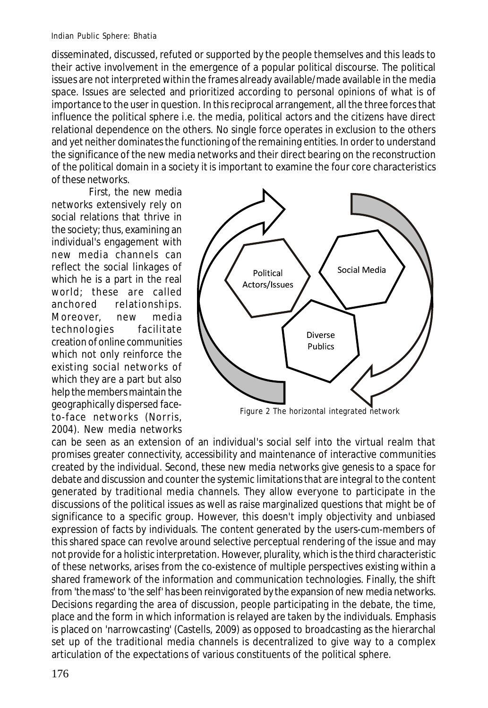disseminated, discussed, refuted or supported by the people themselves and this leads to their active involvement in the emergence of a popular political discourse. The political issues are not interpreted within the frames already available/made available in the media space. Issues are selected and prioritized according to personal opinions of what is of importance to the user in question. In this reciprocal arrangement, all the three forces that influence the political sphere i.e. the media, political actors and the citizens have direct relational dependence on the others. No single force operates in exclusion to the others and yet neither dominates the functioning of the remaining entities. In order to understand the significance of the new media networks and their direct bearing on the reconstruction of the political domain in a society it is important to examine the four core characteristics of these networks.

First, the new media networks extensively rely on social relations that thrive in the society; thus, examining an individual's engagement with new media channels can reflect the social linkages of which he is a part in the real world; these are called anchored relationships. Moreover, new media technologies facilitate creation of online communities which not only reinforce the existing social networks of which they are a part but also help the members maintain the geographically dispersed faceto-face networks (Norris, 2004). New media networks



Figure 2 The horizontal integrated network

can be seen as an extension of an individual's social self into the virtual realm that promises greater connectivity, accessibility and maintenance of interactive communities created by the individual. Second, these new media networks give genesis to a space for debate and discussion and counter the systemic limitations that are integral to the content generated by traditional media channels. They allow everyone to participate in the discussions of the political issues as well as raise marginalized questions that might be of significance to a specific group. However, this doesn't imply objectivity and unbiased expression of facts by individuals. The content generated by the users-cum-members of this shared space can revolve around selective perceptual rendering of the issue and may not provide for a holistic interpretation. However, plurality, which is the third characteristic of these networks, arises from the co-existence of multiple perspectives existing within a shared framework of the information and communication technologies. Finally, the shift from 'the mass' to 'the self' has been reinvigorated by the expansion of new media networks. Decisions regarding the area of discussion, people participating in the debate, the time, place and the form in which information is relayed are taken by the individuals. Emphasis is placed on 'narrowcasting' (Castells, 2009) as opposed to broadcasting as the hierarchal set up of the traditional media channels is decentralized to give way to a complex articulation of the expectations of various constituents of the political sphere.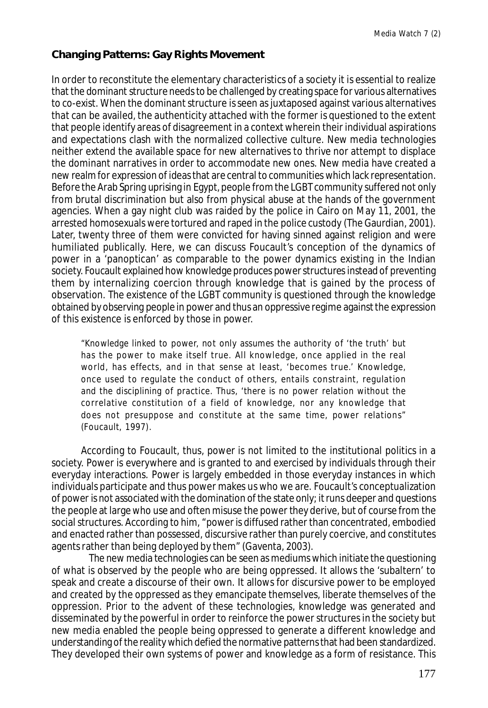# **Changing Patterns: Gay Rights Movement**

In order to reconstitute the elementary characteristics of a society it is essential to realize that the dominant structure needs to be challenged by creating space for various alternatives to co-exist. When the dominant structure is seen as juxtaposed against various alternatives that can be availed, the authenticity attached with the former is questioned to the extent that people identify areas of disagreement in a context wherein their individual aspirations and expectations clash with the normalized collective culture. New media technologies neither extend the available space for new alternatives to thrive nor attempt to displace the dominant narratives in order to accommodate new ones. New media have created a new realm for expression of ideas that are central to communities which lack representation. Before the Arab Spring uprising in Egypt, people from the LGBT community suffered not only from brutal discrimination but also from physical abuse at the hands of the government agencies. When a gay night club was raided by the police in Cairo on May 11, 2001, the arrested homosexuals were tortured and raped in the police custody (The Gaurdian, 2001). Later, twenty three of them were convicted for having sinned against religion and were humiliated publically. Here, we can discuss Foucault's conception of the dynamics of power in a 'panoptican' as comparable to the power dynamics existing in the Indian society. Foucault explained how knowledge produces power structures instead of preventing them by internalizing coercion through knowledge that is gained by the process of observation. The existence of the LGBT community is questioned through the knowledge obtained by observing people in power and thus an oppressive regime against the expression of this existence is enforced by those in power.

"Knowledge linked to power, not only assumes the authority of 'the truth' but has the power to make itself true. All knowledge, once applied in the real world, has effects, and in that sense at least, 'becomes true.' Knowledge, once used to regulate the conduct of others, entails constraint, regulation and the disciplining of practice. Thus, 'there is no power relation without the correlative constitution of a field of knowledge, nor any knowledge that does not presuppose and constitute at the same time, power relations" (Foucault, 1997)*.*

According to Foucault, thus, power is not limited to the institutional politics in a society. Power is everywhere and is granted to and exercised by individuals through their everyday interactions. Power is largely embedded in those everyday instances in which individuals participate and thus power makes us who we are. Foucault's conceptualization of power is not associated with the domination of the state only; it runs deeper and questions the people at large who use and often misuse the power they derive, but of course from the social structures. According to him, "power is diffused rather than concentrated, embodied and enacted rather than possessed, discursive rather than purely coercive, and constitutes agents rather than being deployed by them" (Gaventa, 2003).

The new media technologies can be seen as mediums which initiate the questioning of what is observed by the people who are being oppressed. It allows the 'subaltern' to speak and create a discourse of their own. It allows for discursive power to be employed and created by the oppressed as they emancipate themselves, liberate themselves of the oppression. Prior to the advent of these technologies, knowledge was generated and disseminated by the powerful in order to reinforce the power structures in the society but new media enabled the people being oppressed to generate a different knowledge and understanding of the reality which defied the normative patterns that had been standardized. They developed their own systems of power and knowledge as a form of resistance. This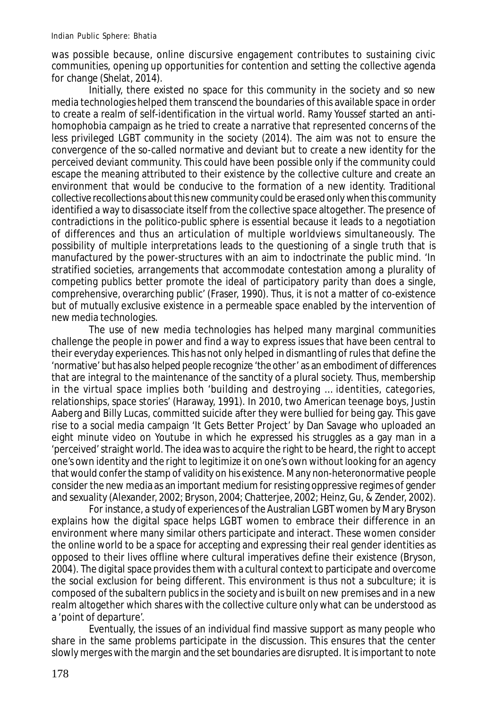was possible because, online discursive engagement contributes to sustaining civic communities, opening up opportunities for contention and setting the collective agenda for change (Shelat, 2014).

Initially, there existed no space for this community in the society and so new media technologies helped them transcend the boundaries of this available space in order to create a realm of self-identification in the virtual world. Ramy Youssef started an antihomophobia campaign as he tried to create a narrative that represented concerns of the less privileged LGBT community in the society (2014). The aim was not to ensure the convergence of the so-called normative and deviant but to create a new identity for the perceived deviant community. This could have been possible only if the community could escape the meaning attributed to their existence by the collective culture and create an environment that would be conducive to the formation of a new identity. Traditional collective recollections about this new community could be erased only when this community identified a way to disassociate itself from the collective space altogether. The presence of contradictions in the politico-public sphere is essential because it leads to a negotiation of differences and thus an articulation of multiple worldviews simultaneously. The possibility of multiple interpretations leads to the questioning of a single truth that is manufactured by the power-structures with an aim to indoctrinate the public mind. 'In stratified societies, arrangements that accommodate contestation among a plurality of competing publics better promote the ideal of participatory parity than does a single, comprehensive, overarching public' (Fraser, 1990). Thus, it is not a matter of co-existence but of mutually exclusive existence in a permeable space enabled by the intervention of new media technologies.

The use of new media technologies has helped many marginal communities challenge the people in power and find a way to express issues that have been central to their everyday experiences. This has not only helped in dismantling of rules that define the 'normative' but has also helped people recognize 'the other' as an embodiment of differences that are integral to the maintenance of the sanctity of a plural society. Thus, membership in the virtual space implies both 'building and destroying … identities, categories, relationships, space stories' (Haraway, 1991). In 2010, two American teenage boys, Justin Aaberg and Billy Lucas, committed suicide after they were bullied for being gay. This gave rise to a social media campaign 'It Gets Better Project' by Dan Savage who uploaded an eight minute video on Youtube in which he expressed his struggles as a gay man in a 'perceived' straight world. The idea was to acquire the right to be heard, the right to accept one's own identity and the right to legitimize it on one's own without looking for an agency that would confer the stamp of validity on his existence. Many non-heteronormative people consider the new media as an important medium for resisting oppressive regimes of gender and sexuality (Alexander, 2002; Bryson, 2004; Chatterjee, 2002; Heinz, Gu, & Zender, 2002).

For instance, a study of experiences of the Australian LGBT women by Mary Bryson explains how the digital space helps LGBT women to embrace their difference in an environment where many similar others participate and interact. These women consider the online world to be a space for accepting and expressing their real gender identities as opposed to their lives offline where cultural imperatives define their existence (Bryson, 2004). The digital space provides them with a cultural context to participate and overcome the social exclusion for being different. This environment is thus not a subculture; it is composed of the subaltern publics in the society and is built on new premises and in a new realm altogether which shares with the collective culture only what can be understood as a 'point of departure'.

Eventually, the issues of an individual find massive support as many people who share in the same problems participate in the discussion. This ensures that the center slowly merges with the margin and the set boundaries are disrupted. It is important to note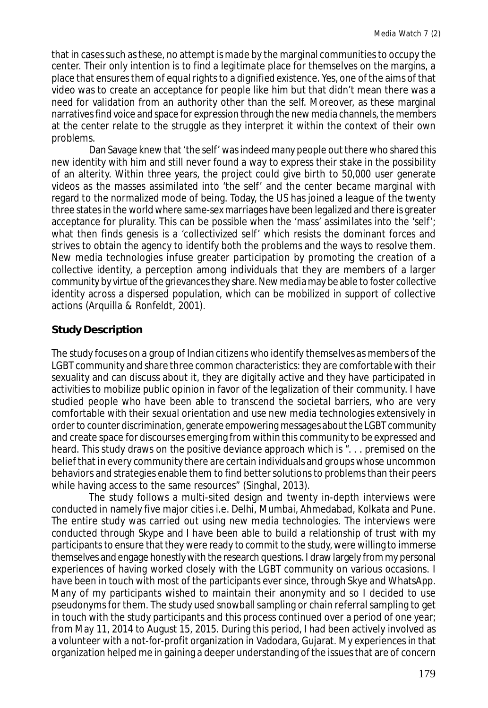that in cases such as these, no attempt is made by the marginal communities to occupy the center. Their only intention is to find a legitimate place for themselves on the margins, a place that ensures them of equal rights to a dignified existence. Yes, one of the aims of that video was to create an acceptance for people like him but that didn't mean there was a need for validation from an authority other than the self. Moreover, as these marginal narratives find voice and space for expression through the new media channels, the members at the center relate to the struggle as they interpret it within the context of their own problems.

Dan Savage knew that 'the self' was indeed many people out there who shared this new identity with him and still never found a way to express their stake in the possibility of an alterity. Within three years, the project could give birth to 50,000 user generate videos as the masses assimilated into 'the self' and the center became marginal with regard to the normalized mode of being. Today, the US has joined a league of the twenty three states in the world where same-sex marriages have been legalized and there is greater acceptance for plurality. This can be possible when the 'mass' assimilates into the 'self'; what then finds genesis is a 'collectivized self' which resists the dominant forces and strives to obtain the agency to identify both the problems and the ways to resolve them. New media technologies infuse greater participation by promoting the creation of a collective identity, a perception among individuals that they are members of a larger community by virtue of the grievances they share. New media may be able to foster collective identity across a dispersed population, which can be mobilized in support of collective actions (Arquilla & Ronfeldt, 2001).

# **Study Description**

The study focuses on a group of Indian citizens who identify themselves as members of the LGBT community and share three common characteristics: they are comfortable with their sexuality and can discuss about it, they are digitally active and they have participated in activities to mobilize public opinion in favor of the legalization of their community. I have studied people who have been able to transcend the societal barriers, who are very comfortable with their sexual orientation and use new media technologies extensively in order to counter discrimination, generate empowering messages about the LGBT community and create space for discourses emerging from within this community to be expressed and heard. This study draws on the positive deviance approach which is ". . . premised on the belief that in every community there are certain individuals and groups whose uncommon behaviors and strategies enable them to find better solutions to problems than their peers while having access to the same resources" (Singhal, 2013).

The study follows a multi-sited design and twenty in-depth interviews were conducted in namely five major cities i.e. Delhi, Mumbai, Ahmedabad, Kolkata and Pune. The entire study was carried out using new media technologies. The interviews were conducted through Skype and I have been able to build a relationship of trust with my participants to ensure that they were ready to commit to the study, were willing to immerse themselves and engage honestly with the research questions. I draw largely from my personal experiences of having worked closely with the LGBT community on various occasions. I have been in touch with most of the participants ever since, through Skye and WhatsApp. Many of my participants wished to maintain their anonymity and so I decided to use pseudonyms for them. The study used snowball sampling or chain referral sampling to get in touch with the study participants and this process continued over a period of one year; from May 11, 2014 to August 15, 2015. During this period, I had been actively involved as a volunteer with a not-for-profit organization in Vadodara, Gujarat. My experiences in that organization helped me in gaining a deeper understanding of the issues that are of concern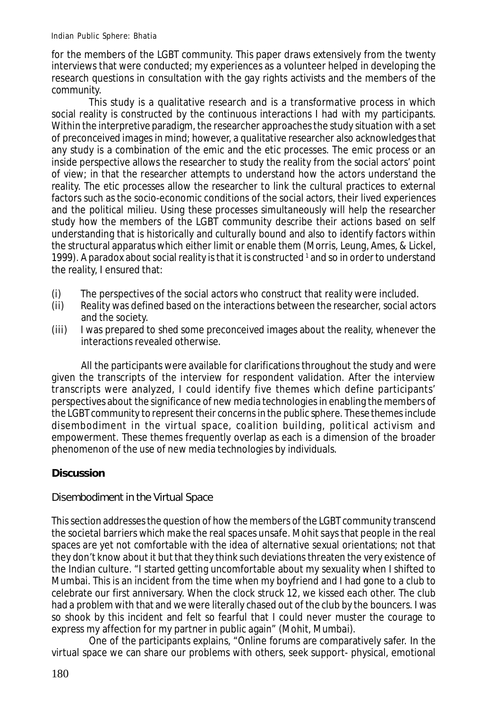for the members of the LGBT community. This paper draws extensively from the twenty interviews that were conducted; my experiences as a volunteer helped in developing the research questions in consultation with the gay rights activists and the members of the community.

This study is a qualitative research and is a transformative process in which social reality is constructed by the continuous interactions I had with my participants. Within the interpretive paradigm, the researcher approaches the study situation with a set of preconceived images in mind; however, a qualitative researcher also acknowledges that any study is a combination of the emic and the etic processes. The emic process or an inside perspective allows the researcher to study the reality from the social actors' point of view; in that the researcher attempts to understand how the actors understand the reality. The etic processes allow the researcher to link the cultural practices to external factors such as the socio-economic conditions of the social actors, their lived experiences and the political milieu. Using these processes simultaneously will help the researcher study how the members of the LGBT community describe their actions based on self understanding that is historically and culturally bound and also to identify factors within the structural apparatus which either limit or enable them (Morris, Leung, Ames, & Lickel, 1999). A paradox about social reality is that it is constructed  $^{\text{1}}$  and so in order to understand the reality, I ensured that:

- (i) The perspectives of the social actors who construct that reality were included.<br>(ii) Reality was defined based on the interactions between the researcher, social act
- Reality was defined based on the interactions between the researcher, social actors and the society.
- (iii) I was prepared to shed some preconceived images about the reality, whenever the interactions revealed otherwise.

All the participants were available for clarifications throughout the study and were given the transcripts of the interview for respondent validation. After the interview transcripts were analyzed, I could identify five themes which define participants' perspectives about the significance of new media technologies in enabling the members of the LGBT community to represent their concerns in the public sphere. These themes include disembodiment in the virtual space, coalition building, political activism and empowerment. These themes frequently overlap as each is a dimension of the broader phenomenon of the use of new media technologies by individuals.

# **Discussion**

## Disembodiment in the Virtual Space

This section addresses the question of how the members of the LGBT community transcend the societal barriers which make the real spaces unsafe. Mohit says that people in the real spaces are yet not comfortable with the idea of alternative sexual orientations; not that they don't know about it but that they think such deviations threaten the very existence of the Indian culture. "I started getting uncomfortable about my sexuality when I shifted to Mumbai. This is an incident from the time when my boyfriend and I had gone to a club to celebrate our first anniversary. When the clock struck 12, we kissed each other. The club had a problem with that and we were literally chased out of the club by the bouncers. I was so shook by this incident and felt so fearful that I could never muster the courage to express my affection for my partner in public again" (Mohit, Mumbai).

One of the participants explains, "Online forums are comparatively safer. In the virtual space we can share our problems with others, seek support- physical, emotional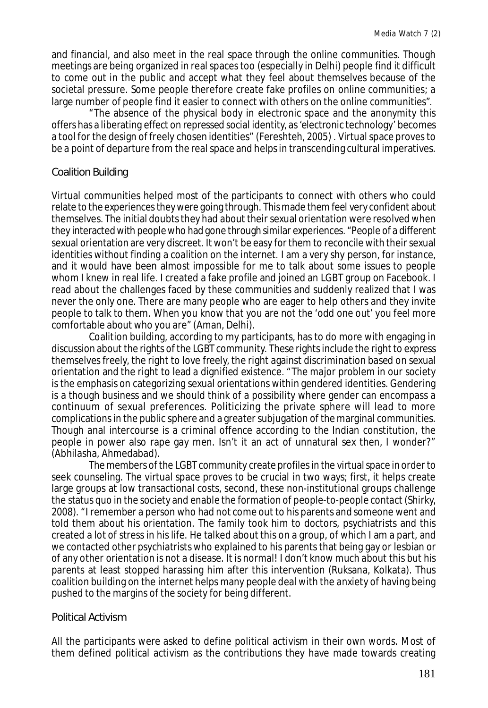and financial, and also meet in the real space through the online communities. Though meetings are being organized in real spaces too (especially in Delhi) people find it difficult to come out in the public and accept what they feel about themselves because of the societal pressure. Some people therefore create fake profiles on online communities; a large number of people find it easier to connect with others on the online communities".

"The absence of the physical body in electronic space and the anonymity this offers has a liberating effect on repressed social identity, as 'electronic technology' becomes a tool for the design of freely chosen identities" (Fereshteh, 2005) . Virtual space proves to be a point of departure from the real space and helps in transcending cultural imperatives.

## Coalition Building

Virtual communities helped most of the participants to connect with others who could relate to the experiences they were going through. This made them feel very confident about themselves. The initial doubts they had about their sexual orientation were resolved when they interacted with people who had gone through similar experiences. "People of a different sexual orientation are very discreet. It won't be easy for them to reconcile with their sexual identities without finding a coalition on the internet. I am a very shy person, for instance, and it would have been almost impossible for me to talk about some issues to people whom I knew in real life. I created a fake profile and joined an LGBT group on Facebook. I read about the challenges faced by these communities and suddenly realized that I was never the only one. There are many people who are eager to help others and they invite people to talk to them. When you know that you are not the 'odd one out' you feel more comfortable about who you are" (Aman, Delhi).

Coalition building, according to my participants, has to do more with engaging in discussion about the rights of the LGBT community. These rights include the right to express themselves freely, the right to love freely, the right against discrimination based on sexual orientation and the right to lead a dignified existence. "The major problem in our society is the emphasis on categorizing sexual orientations within gendered identities. Gendering is a though business and we should think of a possibility where gender can encompass a continuum of sexual preferences. Politicizing the private sphere will lead to more complications in the public sphere and a greater subjugation of the marginal communities. Though anal intercourse is a criminal offence according to the Indian constitution, the people in power also rape gay men. Isn't it an act of unnatural sex then, I wonder?" (Abhilasha, Ahmedabad).

The members of the LGBT community create profiles in the virtual space in order to seek counseling. The virtual space proves to be crucial in two ways; first, it helps create large groups at low transactional costs, second, these non-institutional groups challenge the status quo in the society and enable the formation of people-to-people contact (Shirky, 2008). "I remember a person who had not come out to his parents and someone went and told them about his orientation. The family took him to doctors, psychiatrists and this created a lot of stress in his life. He talked about this on a group, of which I am a part, and we contacted other psychiatrists who explained to his parents that being gay or lesbian or of any other orientation is not a disease. It is normal! I don't know much about this but his parents at least stopped harassing him after this intervention (Ruksana, Kolkata). Thus coalition building on the internet helps many people deal with the anxiety of having being pushed to the margins of the society for being different.

#### Political Activism

All the participants were asked to define political activism in their own words. Most of them defined political activism as the contributions they have made towards creating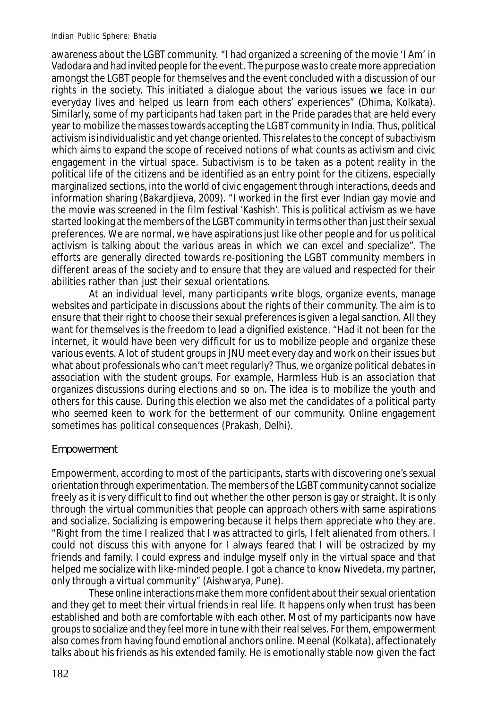awareness about the LGBT community. "I had organized a screening of the movie 'I Am' in Vadodara and had invited people for the event. The purpose was to create more appreciation amongst the LGBT people for themselves and the event concluded with a discussion of our rights in the society. This initiated a dialogue about the various issues we face in our everyday lives and helped us learn from each others' experiences" (Dhima, Kolkata). Similarly, some of my participants had taken part in the Pride parades that are held every year to mobilize the masses towards accepting the LGBT community in India. Thus, political activism is individualistic and yet change oriented. This relates to the concept of subactivism which aims to expand the scope of received notions of what counts as activism and civic engagement in the virtual space. Subactivism is to be taken as a potent reality in the political life of the citizens and be identified as an entry point for the citizens, especially marginalized sections, into the world of civic engagement through interactions, deeds and information sharing (Bakardjieva, 2009). "I worked in the first ever Indian gay movie and the movie was screened in the film festival 'Kashish'. This is political activism as we have started looking at the members of the LGBT community in terms other than just their sexual preferences. We are normal, we have aspirations just like other people and for us political activism is talking about the various areas in which we can excel and specialize". The efforts are generally directed towards re-positioning the LGBT community members in different areas of the society and to ensure that they are valued and respected for their abilities rather than just their sexual orientations.

At an individual level, many participants write blogs, organize events, manage websites and participate in discussions about the rights of their community. The aim is to ensure that their right to choose their sexual preferences is given a legal sanction. All they want for themselves is the freedom to lead a dignified existence. "Had it not been for the internet, it would have been very difficult for us to mobilize people and organize these various events. A lot of student groups in JNU meet every day and work on their issues but what about professionals who can't meet regularly? Thus, we organize political debates in association with the student groups. For example, Harmless Hub is an association that organizes discussions during elections and so on. The idea is to mobilize the youth and others for this cause. During this election we also met the candidates of a political party who seemed keen to work for the betterment of our community. Online engagement sometimes has political consequences (Prakash, Delhi).

# **Empowerment**

Empowerment, according to most of the participants, starts with discovering one's sexual orientation through experimentation. The members of the LGBT community cannot socialize freely as it is very difficult to find out whether the other person is gay or straight. It is only through the virtual communities that people can approach others with same aspirations and socialize. Socializing is empowering because it helps them appreciate who they are. "Right from the time I realized that I was attracted to girls, I felt alienated from others. I could not discuss this with anyone for I always feared that I will be ostracized by my friends and family. I could express and indulge myself only in the virtual space and that helped me socialize with like-minded people. I got a chance to know Nivedeta, my partner, only through a virtual community" (Aishwarya, Pune).

These online interactions make them more confident about their sexual orientation and they get to meet their virtual friends in real life. It happens only when trust has been established and both are comfortable with each other. Most of my participants now have groups to socialize and they feel more in tune with their real selves. For them, empowerment also comes from having found emotional anchors online. Meenal (Kolkata), affectionately talks about his friends as his extended family. He is emotionally stable now given the fact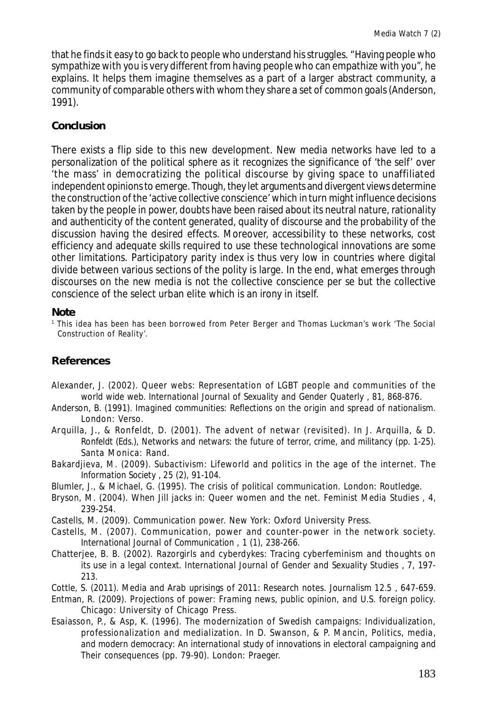that he finds it easy to go back to people who understand his struggles. "Having people who sympathize with you is very different from having people who can empathize with you", he explains. It helps them imagine themselves as a part of a larger abstract community, a community of comparable others with whom they share a set of common goals (Anderson, 1991).

## **Conclusion**

There exists a flip side to this new development. New media networks have led to a personalization of the political sphere as it recognizes the significance of 'the self' over 'the mass' in democratizing the political discourse by giving space to unaffiliated independent opinions to emerge. Though, they let arguments and divergent views determine the construction of the 'active collective conscience' which in turn might influence decisions taken by the people in power, doubts have been raised about its neutral nature, rationality and authenticity of the content generated, quality of discourse and the probability of the discussion having the desired effects. Moreover, accessibility to these networks, cost efficiency and adequate skills required to use these technological innovations are some other limitations. Participatory parity index is thus very low in countries where digital divide between various sections of the polity is large. In the end, what emerges through discourses on the new media is not the collective conscience per se but the collective conscience of the select urban elite which is an irony in itself.

#### **Note**

1 This idea has been has been borrowed from Peter Berger and Thomas Luckman's work 'The Social Construction of Reality'.

## **References**

- Alexander, J. (2002). Queer webs: Representation of LGBT people and communities of the world wide web. *International Journal of Sexuality and Gender Quaterly , 81*, 868-876.
- Anderson, B. (1991). *Imagined communities: Reflections on the origin and spread of nationalism.* London: Verso.
- Arquilla, J., & Ronfeldt, D. (2001). The advent of netwar (revisited). In J. Arquilla, & D. Ronfeldt (Eds.), *Networks and netwars: the future of terror, crime, and militancy* (pp. 1-25). Santa Monica: Rand.
- Bakardjieva, M. (2009). Subactivism: Lifeworld and politics in the age of the internet. *The Information Society , 25* (2), 91-104.
- Blumler, J., & Michael, G. (1995). *The crisis of political communication.* London: Routledge.
- Bryson, M. (2004). When Jill jacks in: Queer women and the net. *Feminist Media Studies , 4*, 239-254.
- Castells, M. (2009). *Communication power.* New York: Oxford University Press.
- Castells, M. (2007). Communication, power and counter-power in the network society. *International Journal of Communication , 1* (1), 238-266.
- Chatterjee, B. B. (2002). Razorgirls and cyberdykes: Tracing cyberfeminism and thoughts on its use in a legal context. *International Journal of Gender and Sexuality Studies , 7*, 197- 213.
- Cottle, S. (2011). Media and Arab uprisings of 2011: Research notes. *Journalism 12.5* , 647-659.
- Entman, R. (2009). *Projections of power: Framing news, public opinion, and U.S. foreign policy.* Chicago: University of Chicago Press.
- Esaiasson, P., & Asp, K. (1996). The modernization of Swedish campaigns: Individualization, professionalization and medialization. In D. Swanson, & P. Mancin, *Politics, media, and modern democracy: An international study of innovations in electoral campaigning and Their consequences* (pp. 79-90). London: Praeger.